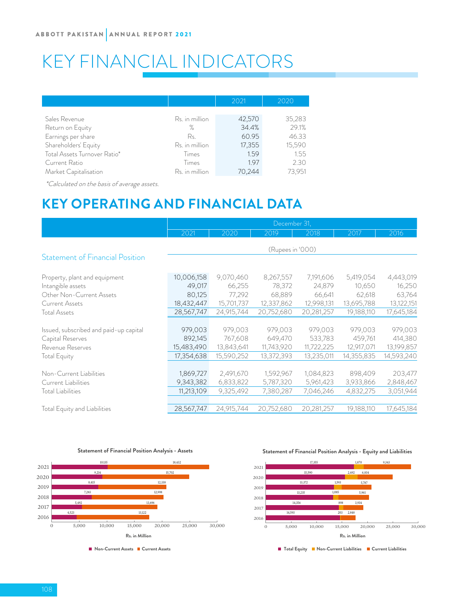# KEY FINANCIAL INDICATORS

|                              |                | 2021   | 2020   |  |
|------------------------------|----------------|--------|--------|--|
|                              |                |        |        |  |
| Sales Revenue                | Rs. in million | 42,570 | 35,283 |  |
| Return on Equity             | ℅              | 34.4%  | 29.1%  |  |
| Earnings per share           | Rs.            | 60.95  | 46.33  |  |
| Shareholders' Equity         | Rs. in million | 17,355 | 15,590 |  |
| Total Assets Turnover Ratio* | Times          | 1.59   | 1.55   |  |
| Current Ratio                | Times          | 1.97   | 2.30   |  |
| Market Capitalisation        | Rs. in million | 70.244 | 73.951 |  |

\*Calculated on the basis of average assets.

## **KEY OPERATING AND FINANCIAL DATA**

|                                        | December 31,     |            |            |            |            |            |  |  |
|----------------------------------------|------------------|------------|------------|------------|------------|------------|--|--|
|                                        | 2021             | 2020       | 2019       | 2018       | 2017       | 2016       |  |  |
|                                        | (Rupees in '000) |            |            |            |            |            |  |  |
| <b>Statement of Financial Position</b> |                  |            |            |            |            |            |  |  |
| Property, plant and equipment          | 10,006,158       | 9,070,460  | 8,267,557  | 7,191,606  | 5,419,054  | 4,443,019  |  |  |
| Intangible assets                      | 49,017           | 66,255     | 78,372     | 24,879     | 10,650     | 16,250     |  |  |
| Other Non-Current Assets               | 80,125           | 77,292     | 68,889     | 66,641     | 62,618     | 63,764     |  |  |
| <b>Current Assets</b>                  | 18,432,447       | 15,701,737 | 12,337,862 | 12,998,131 | 13,695,788 | 13,122,151 |  |  |
| <b>Total Assets</b>                    | 28,567,747       | 24,915,744 | 20,752,680 | 20,281,257 | 19,188,110 | 17,645,184 |  |  |
|                                        |                  |            |            |            |            |            |  |  |
| Issued, subscribed and paid-up capital | 979,003          | 979,003    | 979,003    | 979,003    | 979,003    | 979,003    |  |  |
| Capital Reserves                       | 892,145          | 767,608    | 649,470    | 533,783    | 459,761    | 414,380    |  |  |
| Revenue Reserves                       | 15,483,490       | 13,843,641 | 11,743,920 | 11,722,225 | 12,917,071 | 13,199,857 |  |  |
| <b>Total Equity</b>                    | 17,354,638       | 15,590,252 | 13,372,393 | 13,235,011 | 14,355,835 | 14,593,240 |  |  |
|                                        |                  |            |            |            |            |            |  |  |
| Non-Current Liabilities                | 1,869,727        | 2,491,670  | 1,592,967  | 1,084,823  | 898,409    | 203,477    |  |  |
| Current Liabilities                    | 9,343,382        | 6,833,822  | 5,787,320  | 5,961,423  | 3,933,866  | 2,848,467  |  |  |
| <b>Total Liabilities</b>               | 11,213,109       | 9,325,492  | 7,380,287  | 7,046,246  | 4,832,275  | 3,051,944  |  |  |
|                                        |                  |            |            |            |            |            |  |  |
| Total Equity and Liabilities           | 28,567,747       | 24,915,744 | 20,752,680 | 20,281,257 | 19,188,110 | 17,645,184 |  |  |



#### **Statement of Financial Position Analysis - Assets**